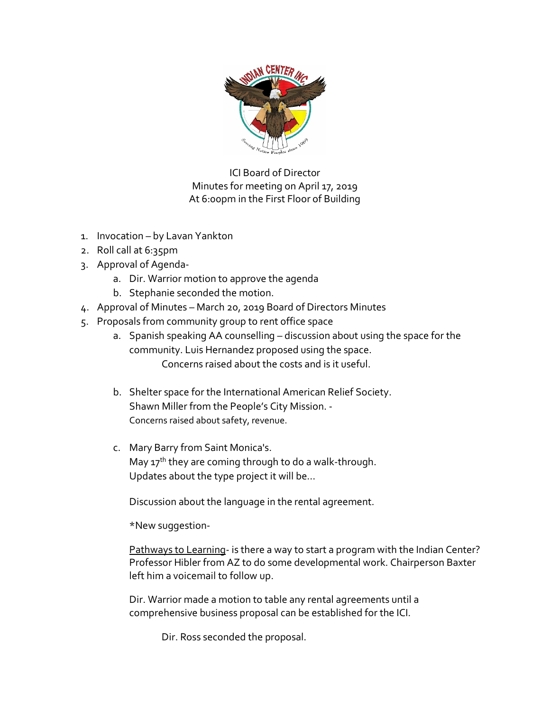

ICI Board of Director Minutes for meeting on April 17, 2019 At 6:00pm in the First Floor of Building

- 1. Invocation by Lavan Yankton
- 2. Roll call at 6:35pm
- 3. Approval of Agenda
	- a. Dir. Warrior motion to approve the agenda
	- b. Stephanie seconded the motion.
- 4. Approval of Minutes March 20, 2019 Board of Directors Minutes
- 5. Proposals from community group to rent office space
	- a. Spanish speaking AA counselling discussion about using the space for the community. Luis Hernandez proposed using the space. Concerns raised about the costs and is it useful.
	- b. Shelter space for the International American Relief Society. Shawn Miller from the People's City Mission. - Concerns raised about safety, revenue.
	- c. Mary Barry from Saint Monica's. May  $17<sup>th</sup>$  they are coming through to do a walk-through. Updates about the type project it will be…

Discussion about the language in the rental agreement.

\*New suggestion-

Pathways to Learning- is there a way to start a program with the Indian Center? Professor Hibler from AZ to do some developmental work. Chairperson Baxter left him a voicemail to follow up.

Dir. Warrior made a motion to table any rental agreements until a comprehensive business proposal can be established for the ICI.

Dir. Ross seconded the proposal.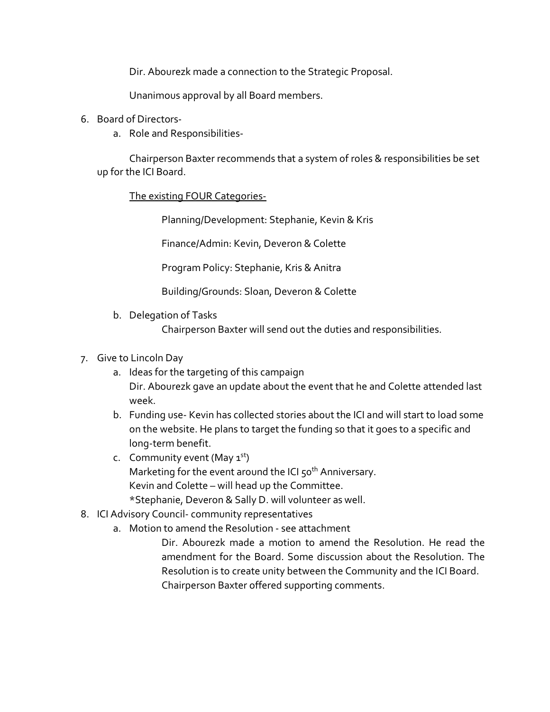Dir. Abourezk made a connection to the Strategic Proposal.

Unanimous approval by all Board members.

- 6. Board of Directors
	- a. Role and Responsibilities-

Chairperson Baxter recommends that a system of roles & responsibilities be set up for the ICI Board.

The existing FOUR Categories-

Planning/Development: Stephanie, Kevin & Kris

Finance/Admin: Kevin, Deveron & Colette

Program Policy: Stephanie, Kris & Anitra

Building/Grounds: Sloan, Deveron & Colette

b. Delegation of Tasks

Chairperson Baxter will send out the duties and responsibilities.

## 7. Give to Lincoln Day

- a. Ideas for the targeting of this campaign Dir. Abourezk gave an update about the event that he and Colette attended last week.
- b. Funding use- Kevin has collected stories about the ICI and will start to load some on the website. He plans to target the funding so that it goes to a specific and long-term benefit.
- c. Community event (May  $1<sup>st</sup>$ ) Marketing for the event around the ICI  $50<sup>th</sup>$  Anniversary. Kevin and Colette – will head up the Committee. \*Stephanie, Deveron & Sally D. will volunteer as well.
- 8. ICI Advisory Council- community representatives
	- a. Motion to amend the Resolution see attachment

Dir. Abourezk made a motion to amend the Resolution. He read the amendment for the Board. Some discussion about the Resolution. The Resolution is to create unity between the Community and the ICI Board. Chairperson Baxter offered supporting comments.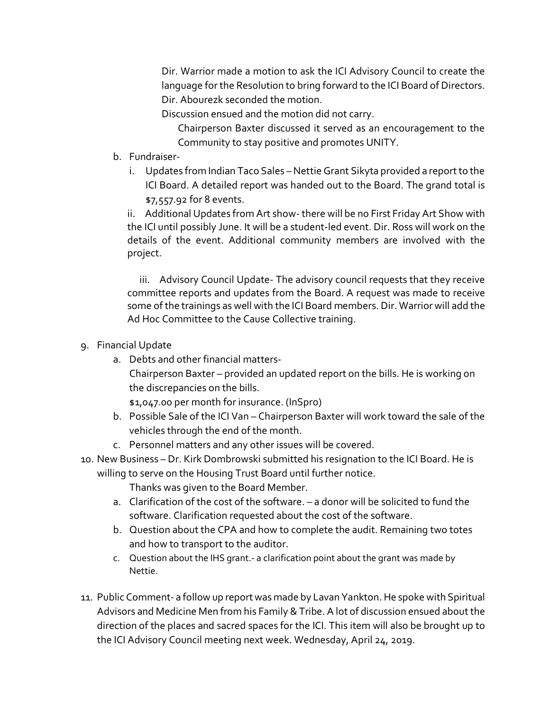Dir. Warrior made a motion to ask the ICI Advisory Council to create the language for the Resolution to bring forward to the ICI Board of Directors. Dir. Abourezk seconded the motion.

Discussion ensued and the motion did not carry.

Chairperson Baxter discussed it served as an encouragement to the Community to stay positive and promotes UNITY.

- b. Fundraiser
	- i. Updates from Indian Taco Sales –Nettie Grant Sikyta provided a report to the ICI Board. A detailed report was handed out to the Board. The grand total is \$7,557.92 for 8 events.

ii. Additional Updates from Art show- there will be no First Friday Art Show with the ICI until possibly June. It will be a student-led event. Dir. Ross will work on the details of the event. Additional community members are involved with the project.

iii. Advisory Council Update- The advisory council requests that they receive committee reports and updates from the Board. A request was made to receive some of the trainings as well with the ICI Board members. Dir. Warrior will add the Ad Hoc Committee to the Cause Collective training.

- 9. Financial Update
	- a. Debts and other financial matters-Chairperson Baxter – provided an updated report on the bills. He is working on the discrepancies on the bills. \$1,047.00 per month for insurance. (InSpro)
	- b. Possible Sale of the ICI Van Chairperson Baxter will work toward the sale of the vehicles through the end of the month.
	- c. Personnel matters and any other issues will be covered.
- 10. New Business Dr. Kirk Dombrowski submitted his resignation to the ICI Board. He is
	- willing to serve on the Housing Trust Board until further notice. Thanks was given to the Board Member.
		- a. Clarification of the cost of the software. a donor will be solicited to fund the software. Clarification requested about the cost of the software.
		- b. Question about the CPA and how to complete the audit. Remaining two totes and how to transport to the auditor.
		- c. Question about the IHS grant.- a clarification point about the grant was made by Nettie.
- 11. Public Comment- a follow up report was made by Lavan Yankton. He spoke with Spiritual Advisors and Medicine Men from his Family & Tribe. A lot of discussion ensued about the direction of the places and sacred spaces for the ICI. This item will also be brought up to the ICI Advisory Council meeting next week. Wednesday, April 24, 2019.